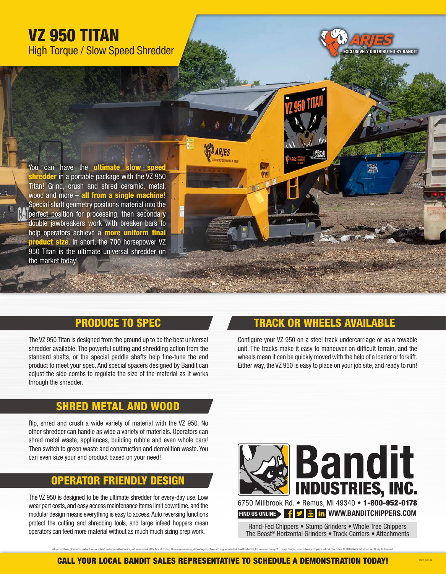# VZ 950 TITAN High Torque / Slow Speed Shredder

You can have the **ultimate** shredder in a portable package with the VZ 950 Titan! Grind, crush and shred ceramic, metal, wood and more - all from a single machine! Special shaft geometry positions material into the perfect position for processing, then secondary double jawbreakers work with breaker bars to help operators achieve a **more uniform final** product size. In short, the 700 horsepower VZ 950 Titan is the ultimate universal shredder on the market today!

# PRODUCE TO SPEC

The VZ 950 Titan is designed from the ground up to be the best universal shredder available. The powerful cutting and shredding action from the standard shafts, or the special paddle shafts help fine-tune the end product to meet your spec. And special spacers designed by Bandit can adjust the side combs to regulate the size of the material as it works through the shredder.

#### RED METAL AND WOOD

Rip, shred and crush a wide variety of material with the VZ 950. No other shredder can handle as wide a variety of materials. Operators can shred metal waste, appliances, building rubble and even whole cars! Then switch to green waste and construction and demolition waste. You can even size your end product based on your need!

### OPERATOR FRIENDLY

The VZ 950 is designed to be the ultimate shredder for every-day use. Low wear part costs, and easy access maintenance items limit downtime, and the modular design means everything is easy to access. Auto reversing functions protect the cutting and shredding tools, and large infeed hoppers mean operators can feed more material without as much much sizing prep work.

# TRACK OR WHEELS AVAILABLE

EXCLUSIVELY DISTRIBUTED BY BANDIT

Configure your VZ 950 on a steel track undercarriage or as a towable unit. The tracks make it easy to maneuver on difficult terrain, and the wheels mean it can be quickly moved with the help of a loader or forklift. Either way, the VZ 950 is easy to place on your job site, and ready to run!



Hand-Fed Chippers • Stump Grinders • Whole Tree Chippers The Beast® Horizontal Grinders • Track Carriers • Attachments

AR950\_2270-19